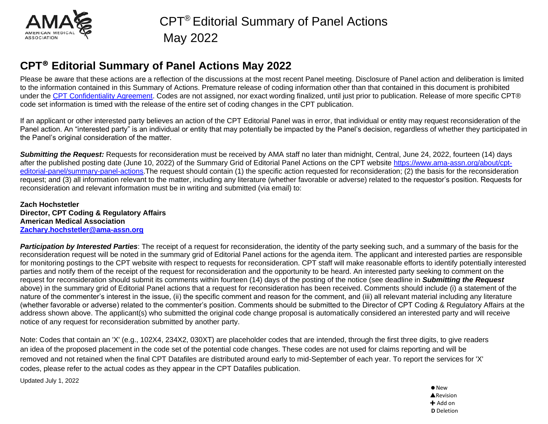

Please be aware that these actions are a reflection of the discussions at the most recent Panel meeting. Disclosure of Panel action and deliberation is limited to the information contained in this Summary of Actions. Premature release of coding information other than that contained in this document is prohibited under the [CPT Confidentiality Agreement.](https://www.ama-assn.org/practice-management/cpt/statement-lobbying) Codes are not assigned, nor exact wording finalized, until just prior to publication. Release of more specific CPT® code set information is timed with the release of the entire set of coding changes in the CPT publication.

If an applicant or other interested party believes an action of the CPT Editorial Panel was in error, that individual or entity may request reconsideration of the Panel action. An "interested party" is an individual or entity that may potentially be impacted by the Panel's decision, regardless of whether they participated in the Panel's original consideration of the matter.

*Submitting the Request:* Requests for reconsideration must be received by AMA staff no later than midnight, Central, June 24, 2022, fourteen (14) days after the published posting date (June 10, 2022) of the Summary Grid of Editorial Panel Actions on the CPT website [https://www.ama-assn.org/about/cpt](https://www.ama-assn.org/about/cpt-editorial-panel/summary-panel-actions)[editorial-panel/summary-panel-actions.](https://www.ama-assn.org/about/cpt-editorial-panel/summary-panel-actions)The request should contain (1) the specific action requested for reconsideration; (2) the basis for the reconsideration request; and (3) all information relevant to the matter, including any literature (whether favorable or adverse) related to the requestor's position. Requests for reconsideration and relevant information must be in writing and submitted (via email) to:

**Zach Hochstetler Director, CPT Coding & Regulatory Affairs American Medical Association [Zachary.hochstetler@ama-assn.org](mailto:Zachary.hochstetler@ama-assn.org)**

*Participation by Interested Parties*: The receipt of a request for reconsideration, the identity of the party seeking such, and a summary of the basis for the reconsideration request will be noted in the summary grid of Editorial Panel actions for the agenda item. The applicant and interested parties are responsible for monitoring postings to the CPT website with respect to requests for reconsideration. CPT staff will make reasonable efforts to identify potentially interested parties and notify them of the receipt of the request for reconsideration and the opportunity to be heard. An interested party seeking to comment on the request for reconsideration should submit its comments within fourteen (14) days of the posting of the notice (see deadline in *Submitting the Request* above) in the summary grid of Editorial Panel actions that a request for reconsideration has been received. Comments should include (i) a statement of the nature of the commenter's interest in the issue, (ii) the specific comment and reason for the comment, and (iii) all relevant material including any literature (whether favorable or adverse) related to the commenter's position. Comments should be submitted to the Director of CPT Coding & Regulatory Affairs at the address shown above. The applicant(s) who submitted the original code change proposal is automatically considered an interested party and will receive notice of any request for reconsideration submitted by another party.

Note: Codes that contain an 'X' (e.g., 102X4, 234X2, 030XT) are placeholder codes that are intended, through the first three digits, to give readers an idea of the proposed placement in the code set of the potential code changes. These codes are not used for claims reporting and will be removed and not retained when the final CPT Datafiles are distributed around early to mid-September of each year. To report the services for 'X' codes, please refer to the actual codes as they appear in the CPT Datafiles publication.

Updated July 1, 2022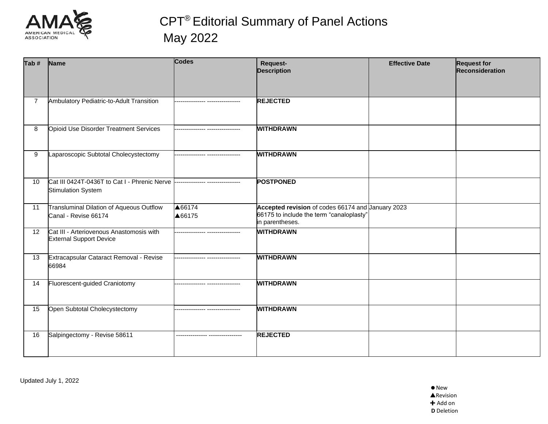

| Tab # | <b>Name</b>                                                                                                | <b>Codes</b>                    | Request-<br><b>Description</b>                                                                                   | <b>Effective Date</b> | <b>Request for</b><br>Reconsideration |
|-------|------------------------------------------------------------------------------------------------------------|---------------------------------|------------------------------------------------------------------------------------------------------------------|-----------------------|---------------------------------------|
|       | Ambulatory Pediatric-to-Adult Transition                                                                   |                                 | <b>REJECTED</b>                                                                                                  |                       |                                       |
| 8     | Opioid Use Disorder Treatment Services                                                                     |                                 | <b>WITHDRAWN</b>                                                                                                 |                       |                                       |
| 9     | Laparoscopic Subtotal Cholecystectomy                                                                      |                                 | <b>WITHDRAWN</b>                                                                                                 |                       |                                       |
| 10    | Cat III 0424T-0436T to Cat I - Phrenic Nerve --------------- ----------------<br><b>Stimulation System</b> |                                 | <b>POSTPONED</b>                                                                                                 |                       |                                       |
| 11    | Transluminal Dilation of Aqueous Outflow<br>Canal - Revise 66174                                           | ▲66174<br>▲66175                | Accepted revision of codes 66174 and January 2023<br>66175 to include the term "canaloplasty"<br>in parentheses. |                       |                                       |
| 12    | Cat III - Arteriovenous Anastomosis with<br><b>External Support Device</b>                                 | -------------- ---------------- | <b>WITHDRAWN</b>                                                                                                 |                       |                                       |
| 13    | Extracapsular Cataract Removal - Revise<br>66984                                                           | -------------- ---------------- | <b>WITHDRAWN</b>                                                                                                 |                       |                                       |
| 14    | Fluorescent-guided Craniotomy                                                                              |                                 | <b>WITHDRAWN</b>                                                                                                 |                       |                                       |
| 15    | Open Subtotal Cholecystectomy                                                                              | ------------- ----------------  | <b>WITHDRAWN</b>                                                                                                 |                       |                                       |
| 16    | Salpingectomy - Revise 58611                                                                               |                                 | <b>REJECTED</b>                                                                                                  |                       |                                       |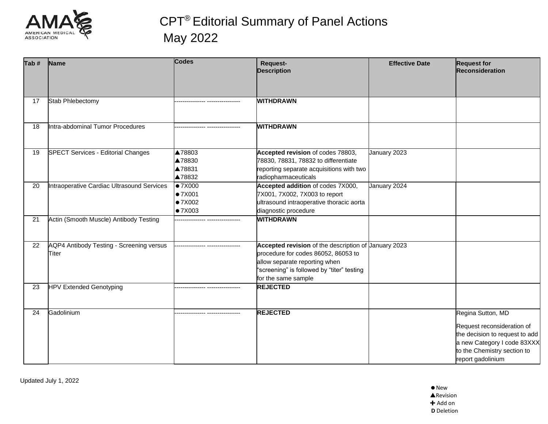

| $Ta b$ # | Name                                              | <b>Codes</b>                                  | Request-<br><b>Description</b>                                                                                                                                                                    | <b>Effective Date</b> | <b>Request for</b><br>Reconsideration                                                                                                                                |
|----------|---------------------------------------------------|-----------------------------------------------|---------------------------------------------------------------------------------------------------------------------------------------------------------------------------------------------------|-----------------------|----------------------------------------------------------------------------------------------------------------------------------------------------------------------|
| 17       | Stab Phlebectomy                                  |                                               | <b>WITHDRAWN</b>                                                                                                                                                                                  |                       |                                                                                                                                                                      |
| 18       | Intra-abdominal Tumor Procedures                  |                                               | <b>WITHDRAWN</b>                                                                                                                                                                                  |                       |                                                                                                                                                                      |
| 19       | <b>SPECT Services - Editorial Changes</b>         | ▲78803<br>▲78830<br>▲78831<br>▲78832          | Accepted revision of codes 78803,<br>78830, 78831, 78832 to differentiate<br>reporting separate acquisitions with two<br>radiopharmaceuticals                                                     | January 2023          |                                                                                                                                                                      |
| 20       | Intraoperative Cardiac Ultrasound Services        | $\bullet$ 7X000<br>•7X001<br>•7X002<br>•7X003 | Accepted addition of codes 7X000,<br>7X001, 7X002, 7X003 to report<br>ultrasound intraoperative thoracic aorta<br>diagnostic procedure                                                            | January 2024          |                                                                                                                                                                      |
| 21       | Actin (Smooth Muscle) Antibody Testing            |                                               | <b>WITHDRAWN</b>                                                                                                                                                                                  |                       |                                                                                                                                                                      |
| 22       | AQP4 Antibody Testing - Screening versus<br>Titer |                                               | Accepted revision of the description of January 2023<br>procedure for codes 86052, 86053 to<br>allow separate reporting when<br>"screening" is followed by "titer" testing<br>for the same sample |                       |                                                                                                                                                                      |
| 23       | <b>HPV Extended Genotyping</b>                    |                                               | <b>REJECTED</b>                                                                                                                                                                                   |                       |                                                                                                                                                                      |
| 24       | Gadolinium                                        |                                               | <b>REJECTED</b>                                                                                                                                                                                   |                       | Regina Sutton, MD<br>Request reconsideration of<br>the decision to request to add<br>a new Category I code 83XXX<br>to the Chemistry section to<br>report gadolinium |

Updated July 1, 2022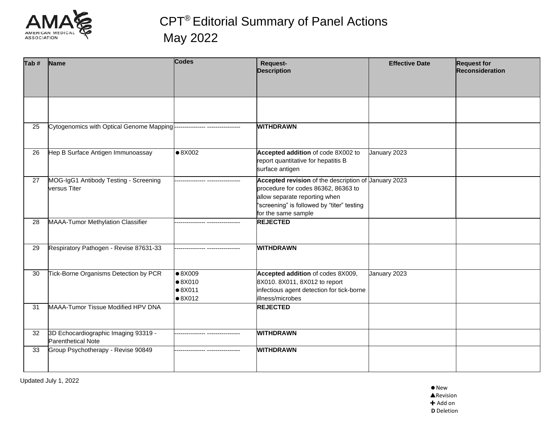

| Tab# | <b>Name</b>                                                       | <b>Codes</b>                                                             | Request-<br><b>Description</b>                                                                                                                                                                    | <b>Effective Date</b> | <b>Request for</b><br><b>Reconsideration</b> |
|------|-------------------------------------------------------------------|--------------------------------------------------------------------------|---------------------------------------------------------------------------------------------------------------------------------------------------------------------------------------------------|-----------------------|----------------------------------------------|
|      |                                                                   |                                                                          |                                                                                                                                                                                                   |                       |                                              |
| 25   | Cytogenomics with Optical Genome Mapping-                         |                                                                          | <b>WITHDRAWN</b>                                                                                                                                                                                  |                       |                                              |
| 26   | Hep B Surface Antigen Immunoassay                                 | $\bullet 8X002$                                                          | Accepted addition of code 8X002 to<br>report quantitative for hepatitis B<br>surface antigen                                                                                                      | January 2023          |                                              |
| 27   | MOG-IgG1 Antibody Testing - Screening<br>versus Titer             | -------------- ----                                                      | Accepted revision of the description of Uanuary 2023<br>procedure for codes 86362, 86363 to<br>allow separate reporting when<br>"screening" is followed by "titer" testing<br>for the same sample |                       |                                              |
| 28   | <b>MAAA-Tumor Methylation Classifier</b>                          |                                                                          | <b>REJECTED</b>                                                                                                                                                                                   |                       |                                              |
| 29   | Respiratory Pathogen - Revise 87631-33                            | -------------- -----------------                                         | <b>WITHDRAWN</b>                                                                                                                                                                                  |                       |                                              |
| 30   | Tick-Borne Organisms Detection by PCR                             | $\bullet$ 8X009<br>$\bullet$ 8X010<br>$\bullet$ 8X011<br>$\bullet$ 8X012 | Accepted addition of codes 8X009,<br>8X010. 8X011, 8X012 to report<br>infectious agent detection for tick-borne<br>illness/microbes                                                               | January 2023          |                                              |
| 31   | MAAA-Tumor Tissue Modified HPV DNA                                |                                                                          | <b>REJECTED</b>                                                                                                                                                                                   |                       |                                              |
| 32   | 3D Echocardiographic Imaging 93319 -<br><b>Parenthetical Note</b> |                                                                          | <b>WITHDRAWN</b>                                                                                                                                                                                  |                       |                                              |
| 33   | Group Psychotherapy - Revise 90849                                |                                                                          | <b>WITHDRAWN</b>                                                                                                                                                                                  |                       |                                              |

Updated July 1, 2022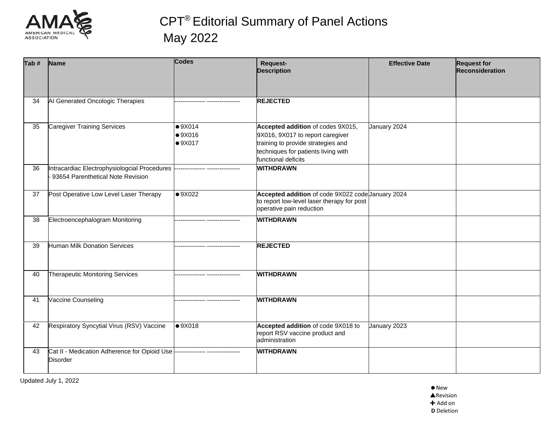

| Tab $#$ | <b>Name</b>                                                                                      | <b>Codes</b>                     | Request-<br><b>Description</b>                                                                                                                                            | <b>Effective Date</b> | <b>Request for</b><br>Reconsideration |
|---------|--------------------------------------------------------------------------------------------------|----------------------------------|---------------------------------------------------------------------------------------------------------------------------------------------------------------------------|-----------------------|---------------------------------------|
| 34      | Al Generated Oncologic Therapies                                                                 |                                  | <b>REJECTED</b>                                                                                                                                                           |                       |                                       |
| 35      | <b>Caregiver Training Services</b>                                                               | •9X014<br>•9X016<br>•9X017       | Accepted addition of codes 9X015,<br>9X016, 9X017 to report caregiver<br>training to provide strategies and<br>techniques for patients living with<br>functional deficits | January 2024          |                                       |
| 36      | Intracardiac Electrophysiologcial Procedures<br>93654 Parenthetical Note Revision                |                                  | <b>WITHDRAWN</b>                                                                                                                                                          |                       |                                       |
| 37      | Post Operative Low Level Laser Therapy                                                           | $\bullet$ 9X022                  | Accepted addition of code 9X022 code January 2024<br>to report low-level laser therapy for post<br>operative pain reduction                                               |                       |                                       |
| 38      | Electroencephalogram Monitoring                                                                  | -------------- ----------------- | <b>WITHDRAWN</b>                                                                                                                                                          |                       |                                       |
| 39      | <b>Human Milk Donation Services</b>                                                              | ------------- -----------------  | <b>REJECTED</b>                                                                                                                                                           |                       |                                       |
| 40      | Therapeutic Monitoring Services                                                                  |                                  | <b>WITHDRAWN</b>                                                                                                                                                          |                       |                                       |
| 41      | Vaccine Counseling                                                                               |                                  | <b>WITHDRAWN</b>                                                                                                                                                          |                       |                                       |
| 42      | Respiratory Syncytial Virus (RSV) Vaccine                                                        | •9X018                           | Accepted addition of code 9X018 to<br>report RSV vaccine product and<br>administration                                                                                    | January 2023          |                                       |
| 43      | Cat II - Medication Adherence for Opioid Use --------------- ----------------<br><b>Disorder</b> |                                  | <b>WITHDRAWN</b>                                                                                                                                                          |                       |                                       |

Updated July 1, 2022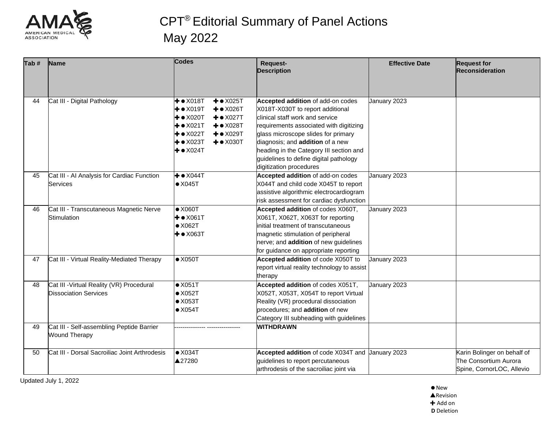

| Tab # | Name                                                                      | <b>Codes</b>                                                                                                                                                                                                                                                                                                       | <b>Request-</b><br><b>Description</b>                                                                                                                                                                                                                                                                                                          | <b>Effective Date</b> | <b>Request for</b><br><b>Reconsideration</b>                                      |
|-------|---------------------------------------------------------------------------|--------------------------------------------------------------------------------------------------------------------------------------------------------------------------------------------------------------------------------------------------------------------------------------------------------------------|------------------------------------------------------------------------------------------------------------------------------------------------------------------------------------------------------------------------------------------------------------------------------------------------------------------------------------------------|-----------------------|-----------------------------------------------------------------------------------|
| 44    | Cat III - Digital Pathology                                               | $+ \bullet$ X018T<br>$+ \bullet X025T$<br>$+ \bullet \times 019$ T<br>$+ \bullet X026T$<br>$+ \bullet$ X020T<br>$+ \bullet X027T$<br>$+$ $\bullet$ X021T<br>$+ \bullet \times 028$ T<br>$+ \bullet \times 022$ T<br>$+ \bullet \times 029T$<br>$+ \bullet$ X023T<br>$+ \bullet \times 030T$<br>$+$ $\bullet$ X024T | Accepted addition of add-on codes<br>X018T-X030T to report additional<br>clinical staff work and service<br>requirements associated with digitizing<br>glass microscope slides for primary<br>diagnosis; and addition of a new<br>heading in the Category III section and<br>guidelines to define digital pathology<br>digitization procedures | January 2023          |                                                                                   |
| 45    | Cat III - AI Analysis for Cardiac Function<br><b>Services</b>             | $+ \bullet \times 044$ T<br>$\bullet$ X045T                                                                                                                                                                                                                                                                        | Accepted addition of add-on codes<br>X044T and child code X045T to report<br>assistive algorithmic electrocardiogram<br>risk assessment for cardiac dysfunction                                                                                                                                                                                | January 2023          |                                                                                   |
| 46    | Cat III - Transcutaneous Magnetic Nerve<br>Stimulation                    | $\bullet$ X060T<br>$+ \bullet \times 061$ T<br>$\bullet$ X062T<br>$+ \bullet \times 063T$                                                                                                                                                                                                                          | Accepted addition of codes X060T,<br>X061T, X062T, X063T for reporting<br>initial treatment of transcutaneous<br>magnetic stimulation of peripheral<br>nerve; and addition of new guidelines<br>for guidance on appropriate reporting                                                                                                          | January 2023          |                                                                                   |
| 47    | Cat III - Virtual Reality-Mediated Therapy                                | $\bullet$ X050T                                                                                                                                                                                                                                                                                                    | Accepted addition of code X050T to<br>report virtual reality technology to assist<br>therapy                                                                                                                                                                                                                                                   | January 2023          |                                                                                   |
| 48    | Cat III - Virtual Reality (VR) Procedural<br><b>Dissociation Services</b> | $\bullet$ X051T<br>$\bullet$ X052T<br>$\bullet$ X053T<br>$\bullet$ X054T                                                                                                                                                                                                                                           | Accepted addition of codes X051T,<br>X052T, X053T, X054T to report Virtual<br>Reality (VR) procedural dissociation<br>procedures; and addition of new<br>Category III subheading with guidelines                                                                                                                                               | January 2023          |                                                                                   |
| 49    | Cat III - Self-assembling Peptide Barrier<br><b>Wound Therapy</b>         |                                                                                                                                                                                                                                                                                                                    | <b>WITHDRAWN</b>                                                                                                                                                                                                                                                                                                                               |                       |                                                                                   |
| 50    | Cat III - Dorsal Sacroiliac Joint Arthrodesis                             | $\bullet$ X034T<br>▲27280                                                                                                                                                                                                                                                                                          | Accepted addition of code X034T and Uanuary 2023<br>guidelines to report percutaneous<br>arthrodesis of the sacroiliac joint via                                                                                                                                                                                                               |                       | Karin Bolinger on behalf of<br>The Consortium Aurora<br>Spine, CornorLOC, Allevio |

Updated July 1, 2022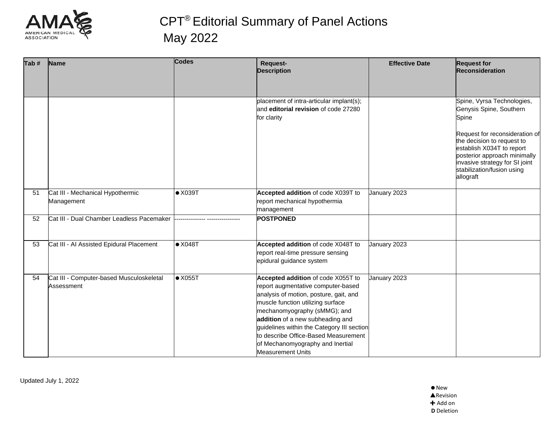

| Tab # | <b>Name</b>                                            | <b>Codes</b>    | <b>Request-</b><br><b>Description</b>                                                                                                                                                                                                                                                                                                                                             | <b>Effective Date</b> | <b>Request for</b><br><b>Reconsideration</b>                                                                                                                                                |
|-------|--------------------------------------------------------|-----------------|-----------------------------------------------------------------------------------------------------------------------------------------------------------------------------------------------------------------------------------------------------------------------------------------------------------------------------------------------------------------------------------|-----------------------|---------------------------------------------------------------------------------------------------------------------------------------------------------------------------------------------|
|       |                                                        |                 |                                                                                                                                                                                                                                                                                                                                                                                   |                       |                                                                                                                                                                                             |
|       |                                                        |                 | placement of intra-articular implant(s);<br>and editorial revision of code 27280<br>for clarity                                                                                                                                                                                                                                                                                   |                       | Spine, Vyrsa Technologies,<br>Genysis Spine, Southern<br>Spine<br>Request for reconsideration of<br>the decision to request to<br>establish X034T to report<br>posterior approach minimally |
|       |                                                        |                 |                                                                                                                                                                                                                                                                                                                                                                                   |                       | invasive strategy for SI joint<br>stabilization/fusion using<br>allograft                                                                                                                   |
| 51    | Cat III - Mechanical Hypothermic<br>Management         | $\bullet$ X039T | Accepted addition of code X039T to<br>report mechanical hypothermia<br>management                                                                                                                                                                                                                                                                                                 | January 2023          |                                                                                                                                                                                             |
| 52    | Cat III - Dual Chamber Leadless Pacemaker              |                 | <b>POSTPONED</b>                                                                                                                                                                                                                                                                                                                                                                  |                       |                                                                                                                                                                                             |
| 53    | Cat III - AI Assisted Epidural Placement               | $\bullet$ X048T | Accepted addition of code X048T to<br>report real-time pressure sensing<br>epidural guidance system                                                                                                                                                                                                                                                                               | January 2023          |                                                                                                                                                                                             |
| 54    | Cat III - Computer-based Musculoskeletal<br>Assessment | $\bullet$ X055T | Accepted addition of code X055T to<br>report augmentative computer-based<br>analysis of motion, posture, gait, and<br>muscle function utilizing surface<br>mechanomyography (sMMG); and<br>addition of a new subheading and<br>guidelines within the Category III section<br>to describe Office-Based Measurement<br>of Mechanomyography and Inertial<br><b>Measurement Units</b> | January 2023          |                                                                                                                                                                                             |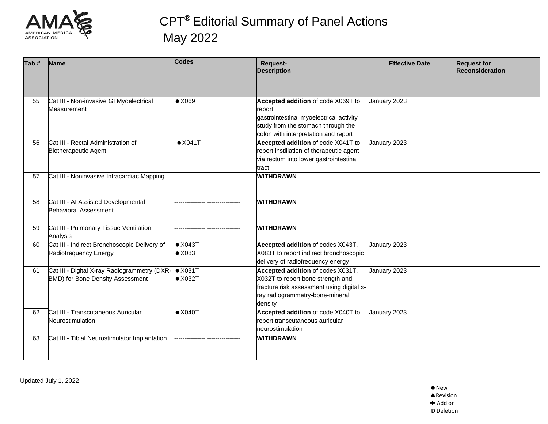

| Tab# | Name                                                                                            | <b>Codes</b>                       | Request-<br><b>Description</b>                                                                                                                                        | <b>Effective Date</b> | <b>Request for</b><br>Reconsideration |
|------|-------------------------------------------------------------------------------------------------|------------------------------------|-----------------------------------------------------------------------------------------------------------------------------------------------------------------------|-----------------------|---------------------------------------|
| 55   | Cat III - Non-invasive GI Myoelectrical<br>Measurement                                          | $\bullet$ X069T                    | Accepted addition of code X069T to<br>report<br>gastrointestinal myoelectrical activity<br>study from the stomach through the<br>colon with interpretation and report | January 2023          |                                       |
| 56   | Cat III - Rectal Administration of<br>Biotherapeutic Agent                                      | $\bullet$ X041T                    | Accepted addition of code X041T to<br>report instillation of therapeutic agent<br>via rectum into lower gastrointestinal<br>tract                                     | January 2023          |                                       |
| 57   | Cat III - Noninvasive Intracardiac Mapping                                                      |                                    | <b>WITHDRAWN</b>                                                                                                                                                      |                       |                                       |
| 58   | Cat III - AI Assisted Developmental<br><b>Behavioral Assessment</b>                             |                                    | <b>WITHDRAWN</b>                                                                                                                                                      |                       |                                       |
| 59   | Cat III - Pulmonary Tissue Ventilation<br>Analysis                                              |                                    | <b>WITHDRAWN</b>                                                                                                                                                      |                       |                                       |
| 60   | Cat III - Indirect Bronchoscopic Delivery of<br>Radiofrequency Energy                           | $\bullet$ X043T<br>$\bullet$ X083T | Accepted addition of codes X043T,<br>X083T to report indirect bronchoscopic<br>delivery of radiofrequency energy                                                      | January 2023          |                                       |
| 61   | Cat III - Digital X-ray Radiogrammetry (DXR-   X031T<br><b>BMD)</b> for Bone Density Assessment | $\bullet$ X032T                    | Accepted addition of codes X031T,<br>X032T to report bone strength and<br>fracture risk assessment using digital x-<br>ray radiogrammetry-bone-mineral<br>density     | January 2023          |                                       |
| 62   | Cat III - Transcutaneous Auricular<br>Neurostimulation                                          | $\bullet$ X040T                    | Accepted addition of code X040T to<br>report transcutaneous auricular<br>neurostimulation                                                                             | January 2023          |                                       |
| 63   | Cat III - Tibial Neurostimulator Implantation                                                   |                                    | <b>WITHDRAWN</b>                                                                                                                                                      |                       |                                       |

Updated July 1, 2022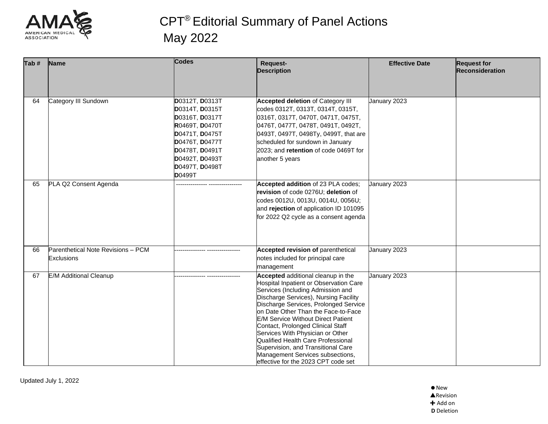

| Tab # | Name                                             | <b>Codes</b>                                                                                                                                                                     | Request-<br><b>Description</b>                                                                                                                                                                                                                                                                                                                                                                                                                                                                                                        | <b>Effective Date</b> | <b>Request for</b><br><b>Reconsideration</b> |
|-------|--------------------------------------------------|----------------------------------------------------------------------------------------------------------------------------------------------------------------------------------|---------------------------------------------------------------------------------------------------------------------------------------------------------------------------------------------------------------------------------------------------------------------------------------------------------------------------------------------------------------------------------------------------------------------------------------------------------------------------------------------------------------------------------------|-----------------------|----------------------------------------------|
| 64    | Category III Sundown                             | D0312T, D0313T<br>D0314T, D0315T<br>D0316T, D0317T<br>R0469T, D0470T<br>D0471T, D0475T<br>D0476T, D0477T<br>D0478T, D0491T<br>D0492T, D0493T<br>D0497T, D0498T<br><b>D</b> 0499T | <b>Accepted deletion of Category III</b><br>codes 0312T, 0313T, 0314T, 0315T,<br>0316T, 0317T, 0470T, 0471T, 0475T,<br>0476T, 0477T, 0478T, 0491T, 0492T,<br>0493T, 0497T, 0498Ty, 0499T, that are<br>scheduled for sundown in January<br>2023; and retention of code 0469T for<br>another 5 years                                                                                                                                                                                                                                    | January 2023          |                                              |
| 65    | PLA Q2 Consent Agenda                            |                                                                                                                                                                                  | Accepted addition of 23 PLA codes;<br>revision of code 0276U; deletion of<br>codes 0012U, 0013U, 0014U, 0056U;<br>and rejection of application ID 101095<br>for 2022 Q2 cycle as a consent agenda                                                                                                                                                                                                                                                                                                                                     | January 2023          |                                              |
| 66    | Parenthetical Note Revisions - PCM<br>Exclusions |                                                                                                                                                                                  | <b>Accepted revision of parenthetical</b><br>notes included for principal care<br>management                                                                                                                                                                                                                                                                                                                                                                                                                                          | January 2023          |                                              |
| 67    | <b>E/M Additional Cleanup</b>                    |                                                                                                                                                                                  | Accepted additional cleanup in the<br><b>Hospital Inpatient or Observation Care</b><br>Services (Including Admission and<br>Discharge Services), Nursing Facility<br>Discharge Services, Prolonged Service<br>on Date Other Than the Face-to-Face<br><b>E/M Service Without Direct Patient</b><br>Contact, Prolonged Clinical Staff<br>Services With Physician or Other<br><b>Qualified Health Care Professional</b><br>Supervision, and Transitional Care<br>Management Services subsections,<br>effective for the 2023 CPT code set | January 2023          |                                              |

Updated July 1, 2022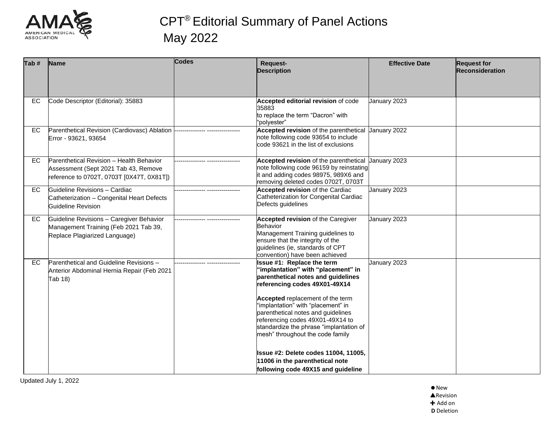

| Tab #     | Name                                                                                                                          | Codes | <b>Request-</b><br><b>Description</b>                                                                                                                                                                                           | <b>Effective Date</b> | <b>Request for</b><br><b>Reconsideration</b> |
|-----------|-------------------------------------------------------------------------------------------------------------------------------|-------|---------------------------------------------------------------------------------------------------------------------------------------------------------------------------------------------------------------------------------|-----------------------|----------------------------------------------|
| EC        | Code Descriptor (Editorial): 35883                                                                                            |       | Accepted editorial revision of code<br>35883<br>to replace the term "Dacron" with<br>"polyester"                                                                                                                                | January 2023          |                                              |
| EC.       | Parenthetical Revision (Cardiovasc) Ablation<br>Error - 93621, 93654                                                          |       | Accepted revision of the parenthetical Uanuary 2022<br>note following code 93654 to include<br>code 93621 in the list of exclusions                                                                                             |                       |                                              |
| EC        | Parenthetical Revision - Health Behavior<br>Assessment (Sept 2021 Tab 43, Remove<br>reference to 0702T, 0703T [0X47T, 0X81T]) |       | Accepted revision of the parenthetical January 2023<br>note following code 96159 by reinstating<br>it and adding codes 98975, 989X6 and<br>removing deleted codes 0702T, 0703T                                                  |                       |                                              |
| <b>EC</b> | Guideline Revisions - Cardiac<br>Catheterization - Congenital Heart Defects<br><b>Guideline Revision</b>                      |       | <b>Accepted revision of the Cardiac</b><br>Catheterization for Congenital Cardiac<br>Defects guidelines                                                                                                                         | January 2023          |                                              |
| EC.       | Guideline Revisions - Caregiver Behavior<br>Management Training (Feb 2021 Tab 39,<br>Replace Plagiarized Language)            |       | <b>Accepted revision of the Caregiver</b><br>Behavior<br>Management Training guidelines to<br>ensure that the integrity of the<br>quidelines (ie, standards of CPT<br>convention) have been achieved                            | January 2023          |                                              |
| EC.       | Parenthetical and Guideline Revisions -<br>Anterior Abdominal Hernia Repair (Feb 2021<br>Tab 18)                              |       | Issue #1: Replace the term<br>'implantation" with "placement" in<br>parenthetical notes and guidelines<br>referencing codes 49X01-49X14                                                                                         | January 2023          |                                              |
|           |                                                                                                                               |       | Accepted replacement of the term<br>"implantation" with "placement" in<br>parenthetical notes and guidelines<br>referencing codes 49X01-49X14 to<br>standardize the phrase "implantation of<br>mesh" throughout the code family |                       |                                              |
|           |                                                                                                                               |       | Issue #2: Delete codes 11004, 11005,<br>11006 in the parenthetical note<br>following code 49X15 and guideline                                                                                                                   |                       |                                              |

Updated July 1, 2022